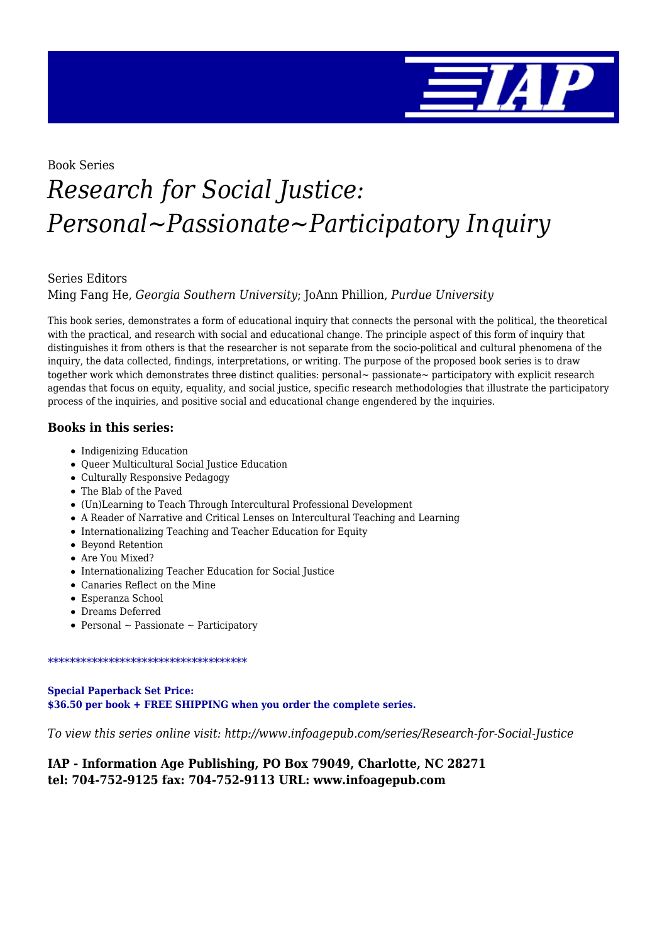

Book Series

# *Research for Social Justice: Personal~Passionate~Participatory Inquiry*

#### Series Editors

Ming Fang He, *Georgia Southern University*; JoAnn Phillion, *Purdue University*

This book series, demonstrates a form of educational inquiry that connects the personal with the political, the theoretical with the practical, and research with social and educational change. The principle aspect of this form of inquiry that distinguishes it from others is that the researcher is not separate from the socio-political and cultural phenomena of the inquiry, the data collected, findings, interpretations, or writing. The purpose of the proposed book series is to draw together work which demonstrates three distinct qualities: personal~ passionate~ participatory with explicit research agendas that focus on equity, equality, and social justice, specific research methodologies that illustrate the participatory process of the inquiries, and positive social and educational change engendered by the inquiries.

#### **Books in this series:**

- Indigenizing Education
- Queer Multicultural Social Justice Education
- Culturally Responsive Pedagogy
- The Blab of the Paved
- (Un)Learning to Teach Through Intercultural Professional Development
- A Reader of Narrative and Critical Lenses on Intercultural Teaching and Learning
- Internationalizing Teaching and Teacher Education for Equity
- Beyond Retention
- Are You Mixed?
- Internationalizing Teacher Education for Social Justice
- Canaries Reflect on the Mine
- Esperanza School
- Dreams Deferred
- Personal  $\sim$  Passionate  $\sim$  Participatory

\*\*\*\*\*\*\*\*\*\*\*\*\*\*\*\*\*\*\*\*\*\*\*\*\*\*\*\*\*\*\*\*\*\*\*\*

**Special Paperback Set Price: \$36.50 per book + FREE SHIPPING when you order the complete series.**

*To view this series online visit: http://www.infoagepub.com/series/Research-for-Social-Justice*

### **IAP - Information Age Publishing, PO Box 79049, Charlotte, NC 28271 tel: 704-752-9125 fax: 704-752-9113 URL: www.infoagepub.com**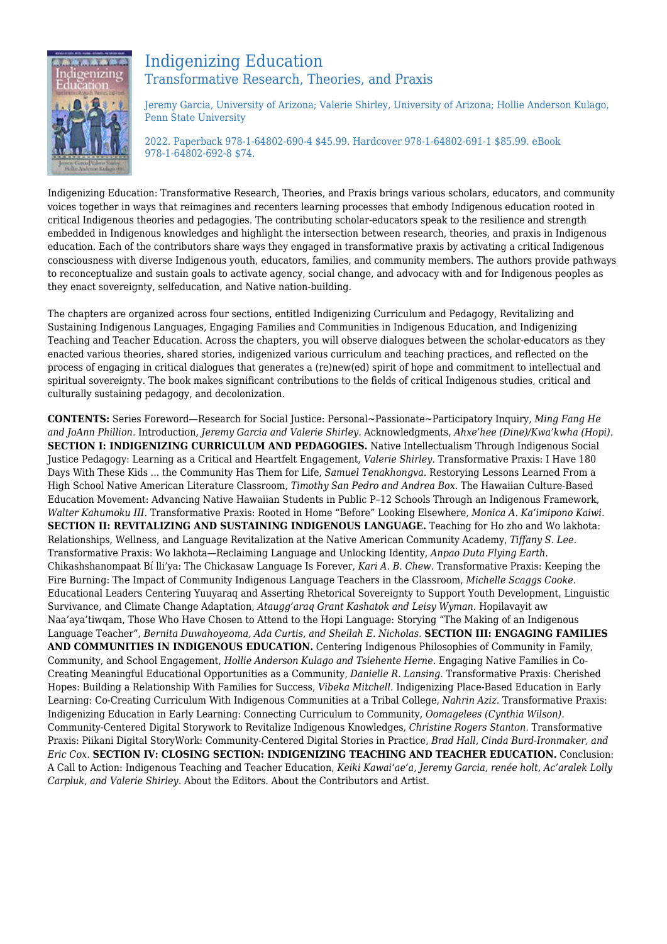

## Indigenizing Education Transformative Research, Theories, and Praxis

Jeremy Garcia, University of Arizona; Valerie Shirley, University of Arizona; Hollie Anderson Kulago, Penn State University

2022. Paperback 978-1-64802-690-4 \$45.99. Hardcover 978-1-64802-691-1 \$85.99. eBook 978-1-64802-692-8 \$74.

Indigenizing Education: Transformative Research, Theories, and Praxis brings various scholars, educators, and community voices together in ways that reimagines and recenters learning processes that embody Indigenous education rooted in critical Indigenous theories and pedagogies. The contributing scholar-educators speak to the resilience and strength embedded in Indigenous knowledges and highlight the intersection between research, theories, and praxis in Indigenous education. Each of the contributors share ways they engaged in transformative praxis by activating a critical Indigenous consciousness with diverse Indigenous youth, educators, families, and community members. The authors provide pathways to reconceptualize and sustain goals to activate agency, social change, and advocacy with and for Indigenous peoples as they enact sovereignty, selfeducation, and Native nation-building.

The chapters are organized across four sections, entitled Indigenizing Curriculum and Pedagogy, Revitalizing and Sustaining Indigenous Languages, Engaging Families and Communities in Indigenous Education, and Indigenizing Teaching and Teacher Education. Across the chapters, you will observe dialogues between the scholar-educators as they enacted various theories, shared stories, indigenized various curriculum and teaching practices, and reflected on the process of engaging in critical dialogues that generates a (re)new(ed) spirit of hope and commitment to intellectual and spiritual sovereignty. The book makes significant contributions to the fields of critical Indigenous studies, critical and culturally sustaining pedagogy, and decolonization.

**CONTENTS:** Series Foreword—Research for Social Justice: Personal~Passionate~Participatory Inquiry, *Ming Fang He and JoAnn Phillion.* Introduction, *Jeremy Garcia and Valerie Shirley.* Acknowledgments, *Ahxe'hee (Dine)/Kwa'kwha (Hopi).* **SECTION I: INDIGENIZING CURRICULUM AND PEDAGOGIES.** Native Intellectualism Through Indigenous Social Justice Pedagogy: Learning as a Critical and Heartfelt Engagement, *Valerie Shirley.* Transformative Praxis: I Have 180 Days With These Kids ... the Community Has Them for Life, *Samuel Tenakhongva.* Restorying Lessons Learned From a High School Native American Literature Classroom, *Timothy San Pedro and Andrea Box.* The Hawaiian Culture-Based Education Movement: Advancing Native Hawaiian Students in Public P–12 Schools Through an Indigenous Framework, *Walter Kahumoku III.* Transformative Praxis: Rooted in Home "Before" Looking Elsewhere, *Monica A. Ka'imipono Kaiwi.* **SECTION II: REVITALIZING AND SUSTAINING INDIGENOUS LANGUAGE.** Teaching for Ho zho and Wo lakhota: Relationships, Wellness, and Language Revitalization at the Native American Community Academy, *Tiffany S. Lee.* Transformative Praxis: Wo lakhota—Reclaiming Language and Unlocking Identity, *Anpao Duta Flying Earth.* Chikashshanompaat Bí lli'ya: The Chickasaw Language Is Forever, *Kari A. B. Chew.* Transformative Praxis: Keeping the Fire Burning: The Impact of Community Indigenous Language Teachers in the Classroom, *Michelle Scaggs Cooke.* Educational Leaders Centering Yuuyaraq and Asserting Rhetorical Sovereignty to Support Youth Development, Linguistic Survivance, and Climate Change Adaptation, *Ataugg'araq Grant Kashatok and Leisy Wyman.* Hopilavayit aw Naa'aya'tiwqam, Those Who Have Chosen to Attend to the Hopi Language: Storying "The Making of an Indigenous Language Teacher", *Bernita Duwahoyeoma, Ada Curtis, and Sheilah E. Nicholas.* **SECTION III: ENGAGING FAMILIES AND COMMUNITIES IN INDIGENOUS EDUCATION.** Centering Indigenous Philosophies of Community in Family, Community, and School Engagement, *Hollie Anderson Kulago and Tsiehente Herne.* Engaging Native Families in Co-Creating Meaningful Educational Opportunities as a Community, *Danielle R. Lansing.* Transformative Praxis: Cherished Hopes: Building a Relationship With Families for Success, *Vibeka Mitchell.* Indigenizing Place-Based Education in Early Learning: Co-Creating Curriculum With Indigenous Communities at a Tribal College, *Nahrin Aziz.* Transformative Praxis: Indigenizing Education in Early Learning: Connecting Curriculum to Community, *Oomagelees (Cynthia Wilson).* Community-Centered Digital Storywork to Revitalize Indigenous Knowledges, *Christine Rogers Stanton.* Transformative Praxis: Piikani Digital StoryWork: Community-Centered Digital Stories in Practice, *Brad Hall, Cinda Burd-Ironmaker, and Eric Cox.* **SECTION IV: CLOSING SECTION: INDIGENIZING TEACHING AND TEACHER EDUCATION.** Conclusion: A Call to Action: Indigenous Teaching and Teacher Education, *Keiki Kawai'ae'a, Jeremy Garcia, renée holt, Ac'aralek Lolly Carpluk, and Valerie Shirley.* About the Editors. About the Contributors and Artist.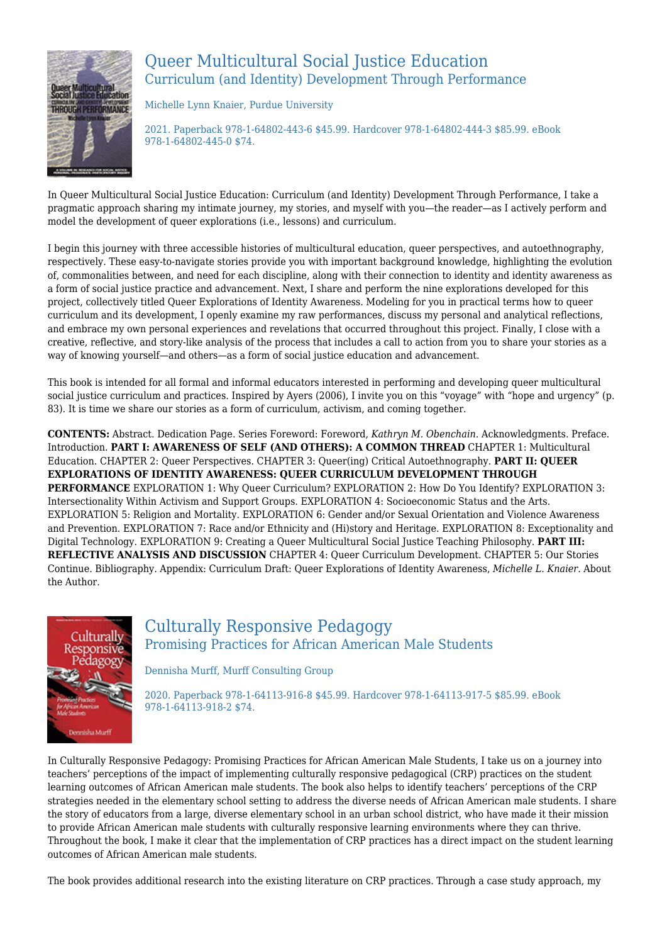

## Queer Multicultural Social Justice Education Curriculum (and Identity) Development Through Performance

Michelle Lynn Knaier, Purdue University

2021. Paperback 978-1-64802-443-6 \$45.99. Hardcover 978-1-64802-444-3 \$85.99. eBook 978-1-64802-445-0 \$74.

In Queer Multicultural Social Justice Education: Curriculum (and Identity) Development Through Performance, I take a pragmatic approach sharing my intimate journey, my stories, and myself with you—the reader—as I actively perform and model the development of queer explorations (i.e., lessons) and curriculum.

I begin this journey with three accessible histories of multicultural education, queer perspectives, and autoethnography, respectively. These easy-to-navigate stories provide you with important background knowledge, highlighting the evolution of, commonalities between, and need for each discipline, along with their connection to identity and identity awareness as a form of social justice practice and advancement. Next, I share and perform the nine explorations developed for this project, collectively titled Queer Explorations of Identity Awareness. Modeling for you in practical terms how to queer curriculum and its development, I openly examine my raw performances, discuss my personal and analytical reflections, and embrace my own personal experiences and revelations that occurred throughout this project. Finally, I close with a creative, reflective, and story-like analysis of the process that includes a call to action from you to share your stories as a way of knowing yourself—and others—as a form of social justice education and advancement.

This book is intended for all formal and informal educators interested in performing and developing queer multicultural social justice curriculum and practices. Inspired by Ayers (2006), I invite you on this "voyage" with "hope and urgency" (p. 83). It is time we share our stories as a form of curriculum, activism, and coming together.

**CONTENTS:** Abstract. Dedication Page. Series Foreword: Foreword, *Kathryn M. Obenchain.* Acknowledgments. Preface. Introduction. **PART I: AWARENESS OF SELF (AND OTHERS): A COMMON THREAD** CHAPTER 1: Multicultural Education. CHAPTER 2: Queer Perspectives. CHAPTER 3: Queer(ing) Critical Autoethnography. **PART II: QUEER EXPLORATIONS OF IDENTITY AWARENESS: QUEER CURRICULUM DEVELOPMENT THROUGH PERFORMANCE** EXPLORATION 1: Why Queer Curriculum? EXPLORATION 2: How Do You Identify? EXPLORATION 3: Intersectionality Within Activism and Support Groups. EXPLORATION 4: Socioeconomic Status and the Arts. EXPLORATION 5: Religion and Mortality. EXPLORATION 6: Gender and/or Sexual Orientation and Violence Awareness and Prevention. EXPLORATION 7: Race and/or Ethnicity and (Hi)story and Heritage. EXPLORATION 8: Exceptionality and Digital Technology. EXPLORATION 9: Creating a Queer Multicultural Social Justice Teaching Philosophy. **PART III: REFLECTIVE ANALYSIS AND DISCUSSION** CHAPTER 4: Queer Curriculum Development. CHAPTER 5: Our Stories Continue. Bibliography. Appendix: Curriculum Draft: Queer Explorations of Identity Awareness, *Michelle L. Knaier.* About the Author.



## Culturally Responsive Pedagogy Promising Practices for African American Male Students

Dennisha Murff, Murff Consulting Group

2020. Paperback 978-1-64113-916-8 \$45.99. Hardcover 978-1-64113-917-5 \$85.99. eBook 978-1-64113-918-2 \$74.

In Culturally Responsive Pedagogy: Promising Practices for African American Male Students, I take us on a journey into teachers' perceptions of the impact of implementing culturally responsive pedagogical (CRP) practices on the student learning outcomes of African American male students. The book also helps to identify teachers' perceptions of the CRP strategies needed in the elementary school setting to address the diverse needs of African American male students. I share the story of educators from a large, diverse elementary school in an urban school district, who have made it their mission to provide African American male students with culturally responsive learning environments where they can thrive. Throughout the book, I make it clear that the implementation of CRP practices has a direct impact on the student learning outcomes of African American male students.

The book provides additional research into the existing literature on CRP practices. Through a case study approach, my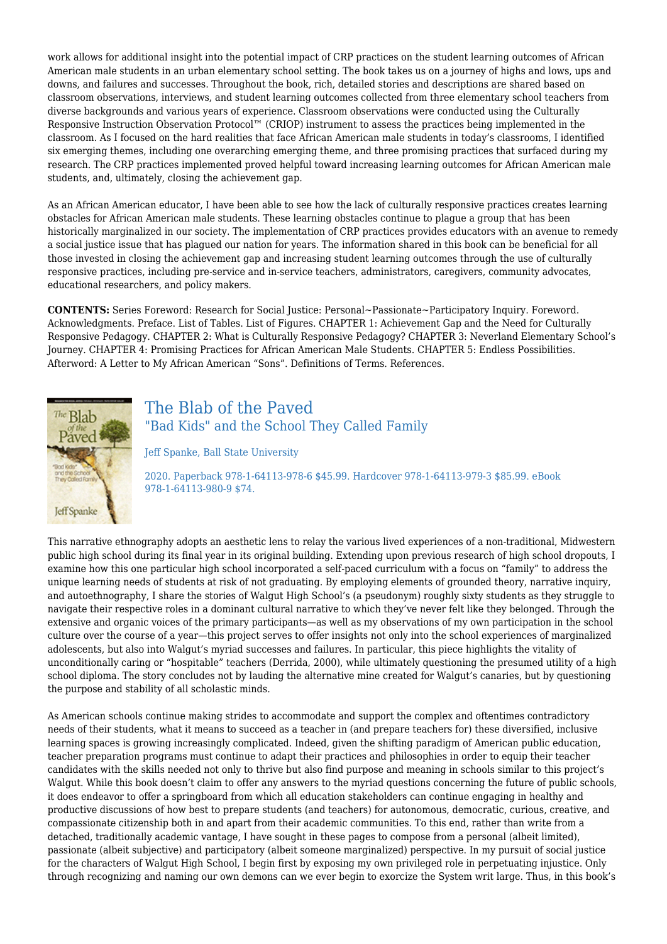work allows for additional insight into the potential impact of CRP practices on the student learning outcomes of African American male students in an urban elementary school setting. The book takes us on a journey of highs and lows, ups and downs, and failures and successes. Throughout the book, rich, detailed stories and descriptions are shared based on classroom observations, interviews, and student learning outcomes collected from three elementary school teachers from diverse backgrounds and various years of experience. Classroom observations were conducted using the Culturally Responsive Instruction Observation Protocol™ (CRIOP) instrument to assess the practices being implemented in the classroom. As I focused on the hard realities that face African American male students in today's classrooms, I identified six emerging themes, including one overarching emerging theme, and three promising practices that surfaced during my research. The CRP practices implemented proved helpful toward increasing learning outcomes for African American male students, and, ultimately, closing the achievement gap.

As an African American educator, I have been able to see how the lack of culturally responsive practices creates learning obstacles for African American male students. These learning obstacles continue to plague a group that has been historically marginalized in our society. The implementation of CRP practices provides educators with an avenue to remedy a social justice issue that has plagued our nation for years. The information shared in this book can be beneficial for all those invested in closing the achievement gap and increasing student learning outcomes through the use of culturally responsive practices, including pre-service and in-service teachers, administrators, caregivers, community advocates, educational researchers, and policy makers.

**CONTENTS:** Series Foreword: Research for Social Justice: Personal~Passionate~Participatory Inquiry. Foreword. Acknowledgments. Preface. List of Tables. List of Figures. CHAPTER 1: Achievement Gap and the Need for Culturally Responsive Pedagogy. CHAPTER 2: What is Culturally Responsive Pedagogy? CHAPTER 3: Neverland Elementary School's Journey. CHAPTER 4: Promising Practices for African American Male Students. CHAPTER 5: Endless Possibilities. Afterword: A Letter to My African American "Sons". Definitions of Terms. References.



## The Blab of the Paved "Bad Kids" and the School They Called Family

Jeff Spanke, Ball State University

2020. Paperback 978-1-64113-978-6 \$45.99. Hardcover 978-1-64113-979-3 \$85.99. eBook 978-1-64113-980-9 \$74.

This narrative ethnography adopts an aesthetic lens to relay the various lived experiences of a non-traditional, Midwestern public high school during its final year in its original building. Extending upon previous research of high school dropouts, I examine how this one particular high school incorporated a self-paced curriculum with a focus on "family" to address the unique learning needs of students at risk of not graduating. By employing elements of grounded theory, narrative inquiry, and autoethnography, I share the stories of Walgut High School's (a pseudonym) roughly sixty students as they struggle to navigate their respective roles in a dominant cultural narrative to which they've never felt like they belonged. Through the extensive and organic voices of the primary participants—as well as my observations of my own participation in the school culture over the course of a year—this project serves to offer insights not only into the school experiences of marginalized adolescents, but also into Walgut's myriad successes and failures. In particular, this piece highlights the vitality of unconditionally caring or "hospitable" teachers (Derrida, 2000), while ultimately questioning the presumed utility of a high school diploma. The story concludes not by lauding the alternative mine created for Walgut's canaries, but by questioning the purpose and stability of all scholastic minds.

As American schools continue making strides to accommodate and support the complex and oftentimes contradictory needs of their students, what it means to succeed as a teacher in (and prepare teachers for) these diversified, inclusive learning spaces is growing increasingly complicated. Indeed, given the shifting paradigm of American public education, teacher preparation programs must continue to adapt their practices and philosophies in order to equip their teacher candidates with the skills needed not only to thrive but also find purpose and meaning in schools similar to this project's Walgut. While this book doesn't claim to offer any answers to the myriad questions concerning the future of public schools, it does endeavor to offer a springboard from which all education stakeholders can continue engaging in healthy and productive discussions of how best to prepare students (and teachers) for autonomous, democratic, curious, creative, and compassionate citizenship both in and apart from their academic communities. To this end, rather than write from a detached, traditionally academic vantage, I have sought in these pages to compose from a personal (albeit limited), passionate (albeit subjective) and participatory (albeit someone marginalized) perspective. In my pursuit of social justice for the characters of Walgut High School, I begin first by exposing my own privileged role in perpetuating injustice. Only through recognizing and naming our own demons can we ever begin to exorcize the System writ large. Thus, in this book's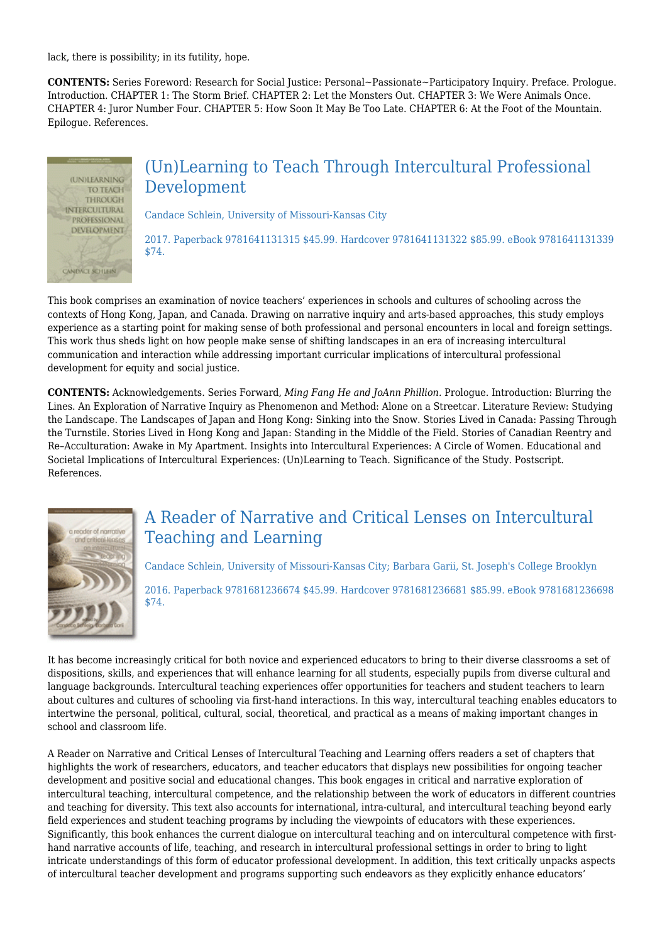lack, there is possibility; in its futility, hope.

**CONTENTS:** Series Foreword: Research for Social Justice: Personal~Passionate~Participatory Inquiry. Preface. Prologue. Introduction. CHAPTER 1: The Storm Brief. CHAPTER 2: Let the Monsters Out. CHAPTER 3: We Were Animals Once. CHAPTER 4: Juror Number Four. CHAPTER 5: How Soon It May Be Too Late. CHAPTER 6: At the Foot of the Mountain. Epilogue. References.



## (Un)Learning to Teach Through Intercultural Professional Development

Candace Schlein, University of Missouri‐Kansas City

2017. Paperback 9781641131315 \$45.99. Hardcover 9781641131322 \$85.99. eBook 9781641131339 \$74.

This book comprises an examination of novice teachers' experiences in schools and cultures of schooling across the contexts of Hong Kong, Japan, and Canada. Drawing on narrative inquiry and arts-based approaches, this study employs experience as a starting point for making sense of both professional and personal encounters in local and foreign settings. This work thus sheds light on how people make sense of shifting landscapes in an era of increasing intercultural communication and interaction while addressing important curricular implications of intercultural professional development for equity and social justice.

**CONTENTS:** Acknowledgements. Series Forward, *Ming Fang He and JoAnn Phillion.* Prologue. Introduction: Blurring the Lines. An Exploration of Narrative Inquiry as Phenomenon and Method: Alone on a Streetcar. Literature Review: Studying the Landscape. The Landscapes of Japan and Hong Kong: Sinking into the Snow. Stories Lived in Canada: Passing Through the Turnstile. Stories Lived in Hong Kong and Japan: Standing in the Middle of the Field. Stories of Canadian Reentry and Re–Acculturation: Awake in My Apartment. Insights into Intercultural Experiences: A Circle of Women. Educational and Societal Implications of Intercultural Experiences: (Un)Learning to Teach. Significance of the Study. Postscript. References.



# A Reader of Narrative and Critical Lenses on Intercultural Teaching and Learning

Candace Schlein, University of Missouri‐Kansas City; Barbara Garii, St. Joseph's College Brooklyn 2016. Paperback 9781681236674 \$45.99. Hardcover 9781681236681 \$85.99. eBook 9781681236698 \$74.

It has become increasingly critical for both novice and experienced educators to bring to their diverse classrooms a set of dispositions, skills, and experiences that will enhance learning for all students, especially pupils from diverse cultural and language backgrounds. Intercultural teaching experiences offer opportunities for teachers and student teachers to learn about cultures and cultures of schooling via first-hand interactions. In this way, intercultural teaching enables educators to intertwine the personal, political, cultural, social, theoretical, and practical as a means of making important changes in school and classroom life.

A Reader on Narrative and Critical Lenses of Intercultural Teaching and Learning offers readers a set of chapters that highlights the work of researchers, educators, and teacher educators that displays new possibilities for ongoing teacher development and positive social and educational changes. This book engages in critical and narrative exploration of intercultural teaching, intercultural competence, and the relationship between the work of educators in different countries and teaching for diversity. This text also accounts for international, intra-cultural, and intercultural teaching beyond early field experiences and student teaching programs by including the viewpoints of educators with these experiences. Significantly, this book enhances the current dialogue on intercultural teaching and on intercultural competence with first‐ hand narrative accounts of life, teaching, and research in intercultural professional settings in order to bring to light intricate understandings of this form of educator professional development. In addition, this text critically unpacks aspects of intercultural teacher development and programs supporting such endeavors as they explicitly enhance educators'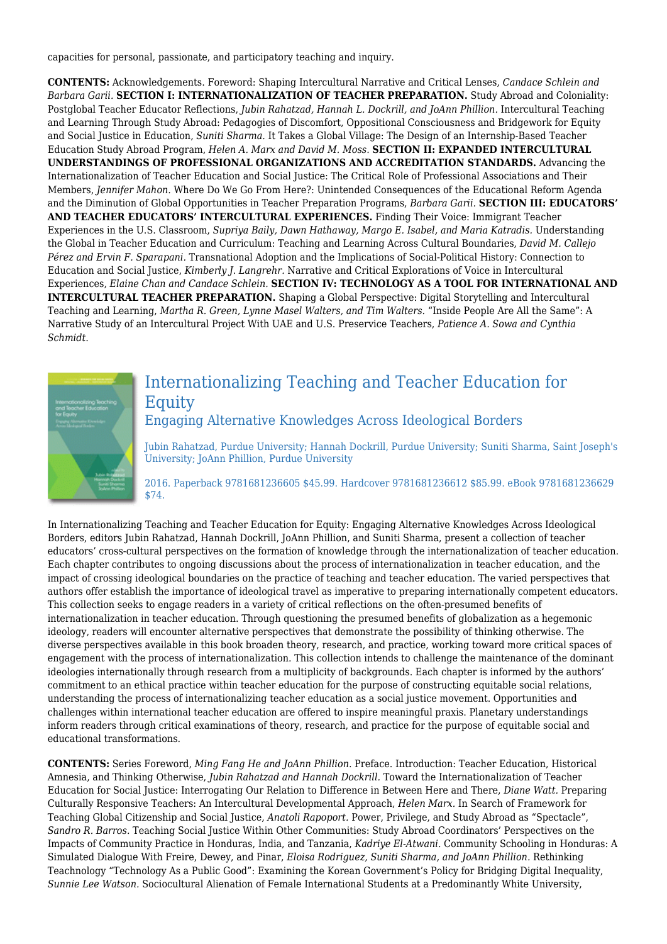capacities for personal, passionate, and participatory teaching and inquiry.

**CONTENTS:** Acknowledgements. Foreword: Shaping Intercultural Narrative and Critical Lenses, *Candace Schlein and Barbara Garii.* **SECTION I: INTERNATIONALIZATION OF TEACHER PREPARATION.** Study Abroad and Coloniality: Postglobal Teacher Educator Reflections, *Jubin Rahatzad, Hannah L. Dockrill, and JoAnn Phillion.* Intercultural Teaching and Learning Through Study Abroad: Pedagogies of Discomfort, Oppositional Consciousness and Bridgework for Equity and Social Justice in Education, *Suniti Sharma.* It Takes a Global Village: The Design of an Internship‐Based Teacher Education Study Abroad Program, *Helen A. Marx and David M. Moss.* **SECTION II: EXPANDED INTERCULTURAL UNDERSTANDINGS OF PROFESSIONAL ORGANIZATIONS AND ACCREDITATION STANDARDS.** Advancing the Internationalization of Teacher Education and Social Justice: The Critical Role of Professional Associations and Their Members, *Jennifer Mahon.* Where Do We Go From Here?: Unintended Consequences of the Educational Reform Agenda and the Diminution of Global Opportunities in Teacher Preparation Programs, *Barbara Garii.* **SECTION III: EDUCATORS' AND TEACHER EDUCATORS' INTERCULTURAL EXPERIENCES.** Finding Their Voice: Immigrant Teacher Experiences in the U.S. Classroom, *Supriya Baily, Dawn Hathaway, Margo E. Isabel, and Maria Katradis.* Understanding the Global in Teacher Education and Curriculum: Teaching and Learning Across Cultural Boundaries, *David M. Callejo Pérez and Ervin F. Sparapani.* Transnational Adoption and the Implications of Social‐Political History: Connection to Education and Social Justice, *Kimberly J. Langrehr.* Narrative and Critical Explorations of Voice in Intercultural Experiences, *Elaine Chan and Candace Schlein.* **SECTION IV: TECHNOLOGY AS A TOOL FOR INTERNATIONAL AND INTERCULTURAL TEACHER PREPARATION.** Shaping a Global Perspective: Digital Storytelling and Intercultural Teaching and Learning, *Martha R. Green, Lynne Masel Walters, and Tim Walters.* "Inside People Are All the Same": A Narrative Study of an Intercultural Project With UAE and U.S. Preservice Teachers, *Patience A. Sowa and Cynthia Schmidt.*



# Internationalizing Teaching and Teacher Education for Equity

Engaging Alternative Knowledges Across Ideological Borders

Jubin Rahatzad, Purdue University; Hannah Dockrill, Purdue University; Suniti Sharma, Saint Joseph's University; JoAnn Phillion, Purdue University

2016. Paperback 9781681236605 \$45.99. Hardcover 9781681236612 \$85.99. eBook 9781681236629 \$74.

In Internationalizing Teaching and Teacher Education for Equity: Engaging Alternative Knowledges Across Ideological Borders, editors Jubin Rahatzad, Hannah Dockrill, JoAnn Phillion, and Suniti Sharma, present a collection of teacher educators' cross‐cultural perspectives on the formation of knowledge through the internationalization of teacher education. Each chapter contributes to ongoing discussions about the process of internationalization in teacher education, and the impact of crossing ideological boundaries on the practice of teaching and teacher education. The varied perspectives that authors offer establish the importance of ideological travel as imperative to preparing internationally competent educators. This collection seeks to engage readers in a variety of critical reflections on the often‐presumed benefits of internationalization in teacher education. Through questioning the presumed benefits of globalization as a hegemonic ideology, readers will encounter alternative perspectives that demonstrate the possibility of thinking otherwise. The diverse perspectives available in this book broaden theory, research, and practice, working toward more critical spaces of engagement with the process of internationalization. This collection intends to challenge the maintenance of the dominant ideologies internationally through research from a multiplicity of backgrounds. Each chapter is informed by the authors' commitment to an ethical practice within teacher education for the purpose of constructing equitable social relations, understanding the process of internationalizing teacher education as a social justice movement. Opportunities and challenges within international teacher education are offered to inspire meaningful praxis. Planetary understandings inform readers through critical examinations of theory, research, and practice for the purpose of equitable social and educational transformations.

**CONTENTS:** Series Foreword, *Ming Fang He and JoAnn Phillion.* Preface. Introduction: Teacher Education, Historical Amnesia, and Thinking Otherwise, *Jubin Rahatzad and Hannah Dockrill.* Toward the Internationalization of Teacher Education for Social Justice: Interrogating Our Relation to Difference in Between Here and There, *Diane Watt.* Preparing Culturally Responsive Teachers: An Intercultural Developmental Approach, *Helen Marx.* In Search of Framework for Teaching Global Citizenship and Social Justice, *Anatoli Rapoport.* Power, Privilege, and Study Abroad as "Spectacle", *Sandro R. Barros.* Teaching Social Justice Within Other Communities: Study Abroad Coordinators' Perspectives on the Impacts of Community Practice in Honduras, India, and Tanzania, *Kadriye El‐Atwani.* Community Schooling in Honduras: A Simulated Dialogue With Freire, Dewey, and Pinar, *Eloisa Rodriguez, Suniti Sharma, and JoAnn Phillion.* Rethinking Teachnology "Technology As a Public Good": Examining the Korean Government's Policy for Bridging Digital Inequality, *Sunnie Lee Watson.* Sociocultural Alienation of Female International Students at a Predominantly White University,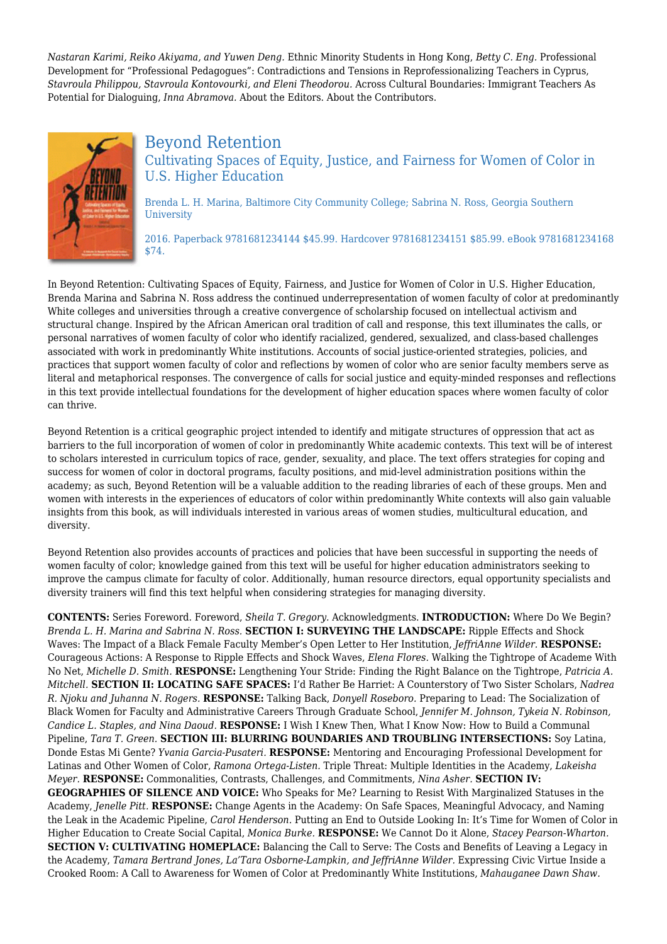*Nastaran Karimi, Reiko Akiyama, and Yuwen Deng.* Ethnic Minority Students in Hong Kong, *Betty C. Eng.* Professional Development for "Professional Pedagogues": Contradictions and Tensions in Reprofessionalizing Teachers in Cyprus, *Stavroula Philippou, Stavroula Kontovourki, and Eleni Theodorou.* Across Cultural Boundaries: Immigrant Teachers As Potential for Dialoguing, *Inna Abramova.* About the Editors. About the Contributors.



### Beyond Retention Cultivating Spaces of Equity, Justice, and Fairness for Women of Color in U.S. Higher Education

Brenda L. H. Marina, Baltimore City Community College; Sabrina N. Ross, Georgia Southern **University** 

2016. Paperback 9781681234144 \$45.99. Hardcover 9781681234151 \$85.99. eBook 9781681234168 \$74.

In Beyond Retention: Cultivating Spaces of Equity, Fairness, and Justice for Women of Color in U.S. Higher Education, Brenda Marina and Sabrina N. Ross address the continued underrepresentation of women faculty of color at predominantly White colleges and universities through a creative convergence of scholarship focused on intellectual activism and structural change. Inspired by the African American oral tradition of call and response, this text illuminates the calls, or personal narratives of women faculty of color who identify racialized, gendered, sexualized, and class-based challenges associated with work in predominantly White institutions. Accounts of social justice-oriented strategies, policies, and practices that support women faculty of color and reflections by women of color who are senior faculty members serve as literal and metaphorical responses. The convergence of calls for social justice and equity-minded responses and reflections in this text provide intellectual foundations for the development of higher education spaces where women faculty of color can thrive.

Beyond Retention is a critical geographic project intended to identify and mitigate structures of oppression that act as barriers to the full incorporation of women of color in predominantly White academic contexts. This text will be of interest to scholars interested in curriculum topics of race, gender, sexuality, and place. The text offers strategies for coping and success for women of color in doctoral programs, faculty positions, and mid-level administration positions within the academy; as such, Beyond Retention will be a valuable addition to the reading libraries of each of these groups. Men and women with interests in the experiences of educators of color within predominantly White contexts will also gain valuable insights from this book, as will individuals interested in various areas of women studies, multicultural education, and diversity.

Beyond Retention also provides accounts of practices and policies that have been successful in supporting the needs of women faculty of color; knowledge gained from this text will be useful for higher education administrators seeking to improve the campus climate for faculty of color. Additionally, human resource directors, equal opportunity specialists and diversity trainers will find this text helpful when considering strategies for managing diversity.

**CONTENTS:** Series Foreword. Foreword, *Sheila T. Gregory.* Acknowledgments. **INTRODUCTION:** Where Do We Begin? *Brenda L. H. Marina and Sabrina N. Ross.* **SECTION I: SURVEYING THE LANDSCAPE:** Ripple Effects and Shock Waves: The Impact of a Black Female Faculty Member's Open Letter to Her Institution, *JeffriAnne Wilder.* **RESPONSE:** Courageous Actions: A Response to Ripple Effects and Shock Waves, *Elena Flores.* Walking the Tightrope of Academe With No Net, *Michelle D. Smith.* **RESPONSE:** Lengthening Your Stride: Finding the Right Balance on the Tightrope, *Patricia A. Mitchell.* **SECTION II: LOCATING SAFE SPACES:** I'd Rather Be Harriet: A Counterstory of Two Sister Scholars, *Nadrea R. Njoku and Juhanna N. Rogers.* **RESPONSE:** Talking Back, *Donyell Roseboro.* Preparing to Lead: The Socialization of Black Women for Faculty and Administrative Careers Through Graduate School, *Jennifer M. Johnson, Tykeia N. Robinson, Candice L. Staples, and Nina Daoud.* **RESPONSE:** I Wish I Knew Then, What I Know Now: How to Build a Communal Pipeline, *Tara T. Green.* **SECTION III: BLURRING BOUNDARIES AND TROUBLING INTERSECTIONS:** Soy Latina, Donde Estas Mi Gente? *Yvania Garcia-Pusateri.* **RESPONSE:** Mentoring and Encouraging Professional Development for Latinas and Other Women of Color, *Ramona Ortega-Listen.* Triple Threat: Multiple Identities in the Academy, *Lakeisha Meyer.* **RESPONSE:** Commonalities, Contrasts, Challenges, and Commitments, *Nina Asher.* **SECTION IV: GEOGRAPHIES OF SILENCE AND VOICE:** Who Speaks for Me? Learning to Resist With Marginalized Statuses in the Academy, *Jenelle Pitt.* **RESPONSE:** Change Agents in the Academy: On Safe Spaces, Meaningful Advocacy, and Naming the Leak in the Academic Pipeline, *Carol Henderson.* Putting an End to Outside Looking In: It's Time for Women of Color in Higher Education to Create Social Capital, *Monica Burke.* **RESPONSE:** We Cannot Do it Alone, *Stacey Pearson-Wharton.* **SECTION V: CULTIVATING HOMEPLACE:** Balancing the Call to Serve: The Costs and Benefits of Leaving a Legacy in the Academy, *Tamara Bertrand Jones, La'Tara Osborne-Lampkin, and JeffriAnne Wilder.* Expressing Civic Virtue Inside a Crooked Room: A Call to Awareness for Women of Color at Predominantly White Institutions, *Mahauganee Dawn Shaw.*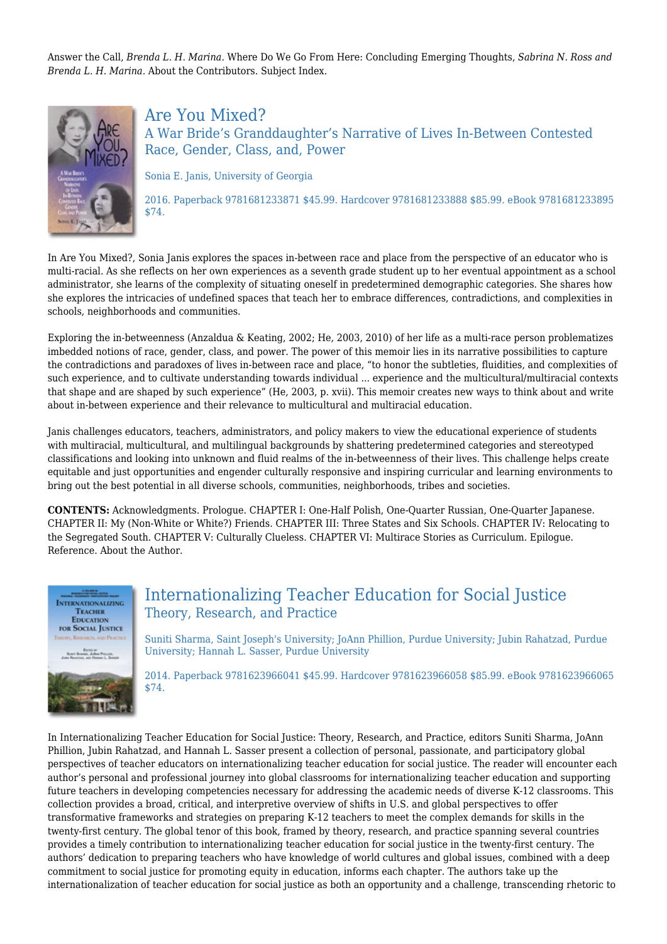Answer the Call, *Brenda L. H. Marina.* Where Do We Go From Here: Concluding Emerging Thoughts, *Sabrina N. Ross and Brenda L. H. Marina.* About the Contributors. Subject Index.



Are You Mixed? A War Bride's Granddaughter's Narrative of Lives In-Between Contested Race, Gender, Class, and, Power

Sonia E. Janis, University of Georgia

2016. Paperback 9781681233871 \$45.99. Hardcover 9781681233888 \$85.99. eBook 9781681233895 \$74.

In Are You Mixed?, Sonia Janis explores the spaces in-between race and place from the perspective of an educator who is multi-racial. As she reflects on her own experiences as a seventh grade student up to her eventual appointment as a school administrator, she learns of the complexity of situating oneself in predetermined demographic categories. She shares how she explores the intricacies of undefined spaces that teach her to embrace differences, contradictions, and complexities in schools, neighborhoods and communities.

Exploring the in-betweenness (Anzaldua & Keating, 2002; He, 2003, 2010) of her life as a multi-race person problematizes imbedded notions of race, gender, class, and power. The power of this memoir lies in its narrative possibilities to capture the contradictions and paradoxes of lives in-between race and place, "to honor the subtleties, fluidities, and complexities of such experience, and to cultivate understanding towards individual ... experience and the multicultural/multiracial contexts that shape and are shaped by such experience" (He, 2003, p. xvii). This memoir creates new ways to think about and write about in-between experience and their relevance to multicultural and multiracial education.

Janis challenges educators, teachers, administrators, and policy makers to view the educational experience of students with multiracial, multicultural, and multilingual backgrounds by shattering predetermined categories and stereotyped classifications and looking into unknown and fluid realms of the in-betweenness of their lives. This challenge helps create equitable and just opportunities and engender culturally responsive and inspiring curricular and learning environments to bring out the best potential in all diverse schools, communities, neighborhoods, tribes and societies.

**CONTENTS:** Acknowledgments. Prologue. CHAPTER I: One-Half Polish, One-Quarter Russian, One-Quarter Japanese. CHAPTER II: My (Non-White or White?) Friends. CHAPTER III: Three States and Six Schools. CHAPTER IV: Relocating to the Segregated South. CHAPTER V: Culturally Clueless. CHAPTER VI: Multirace Stories as Curriculum. Epilogue. Reference. About the Author.



\$74.

## Internationalizing Teacher Education for Social Justice Theory, Research, and Practice

Suniti Sharma, Saint Joseph's University; JoAnn Phillion, Purdue University; Jubin Rahatzad, Purdue University; Hannah L. Sasser, Purdue University

2014. Paperback 9781623966041 \$45.99. Hardcover 9781623966058 \$85.99. eBook 9781623966065

In Internationalizing Teacher Education for Social Justice: Theory, Research, and Practice, editors Suniti Sharma, JoAnn Phillion, Jubin Rahatzad, and Hannah L. Sasser present a collection of personal, passionate, and participatory global perspectives of teacher educators on internationalizing teacher education for social justice. The reader will encounter each author's personal and professional journey into global classrooms for internationalizing teacher education and supporting future teachers in developing competencies necessary for addressing the academic needs of diverse K-12 classrooms. This collection provides a broad, critical, and interpretive overview of shifts in U.S. and global perspectives to offer transformative frameworks and strategies on preparing K-12 teachers to meet the complex demands for skills in the twenty-first century. The global tenor of this book, framed by theory, research, and practice spanning several countries provides a timely contribution to internationalizing teacher education for social justice in the twenty-first century. The authors' dedication to preparing teachers who have knowledge of world cultures and global issues, combined with a deep commitment to social justice for promoting equity in education, informs each chapter. The authors take up the internationalization of teacher education for social justice as both an opportunity and a challenge, transcending rhetoric to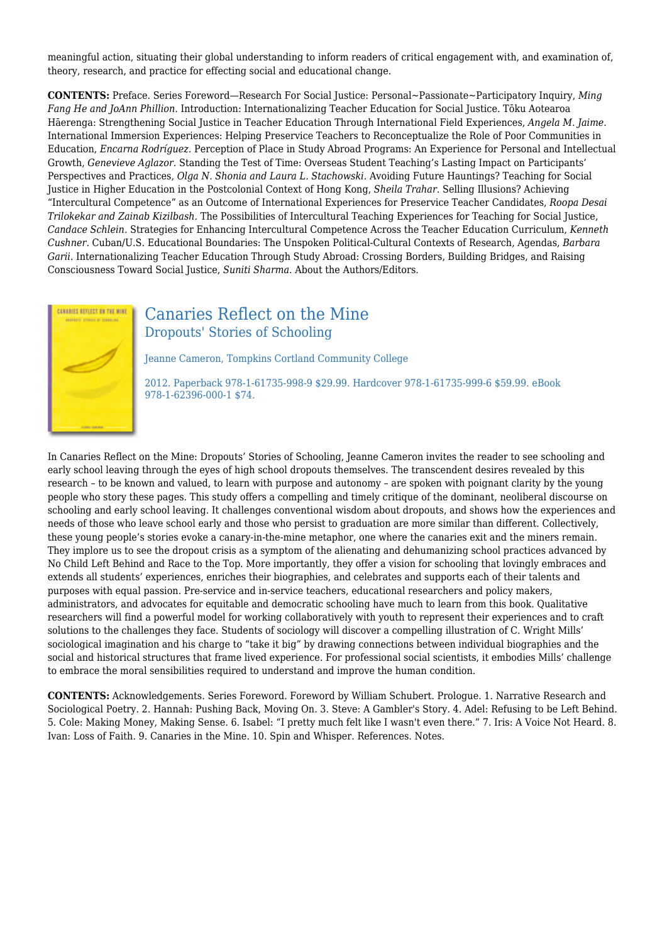meaningful action, situating their global understanding to inform readers of critical engagement with, and examination of, theory, research, and practice for effecting social and educational change.

**CONTENTS:** Preface. Series Foreword—Research For Social Justice: Personal~Passionate~Participatory Inquiry, *Ming Fang He and JoAnn Phillion.* Introduction: Internationalizing Teacher Education for Social Justice. Tōku Aotearoa Hāerenga: Strengthening Social Justice in Teacher Education Through International Field Experiences, *Angela M. Jaime.* International Immersion Experiences: Helping Preservice Teachers to Reconceptualize the Role of Poor Communities in Education, *Encarna Rodríguez.* Perception of Place in Study Abroad Programs: An Experience for Personal and Intellectual Growth, *Genevieve Aglazor.* Standing the Test of Time: Overseas Student Teaching's Lasting Impact on Participants' Perspectives and Practices, *Olga N. Shonia and Laura L. Stachowski.* Avoiding Future Hauntings? Teaching for Social Justice in Higher Education in the Postcolonial Context of Hong Kong, *Sheila Trahar.* Selling Illusions? Achieving "Intercultural Competence" as an Outcome of International Experiences for Preservice Teacher Candidates, *Roopa Desai Trilokekar and Zainab Kizilbash.* The Possibilities of Intercultural Teaching Experiences for Teaching for Social Justice, *Candace Schlein.* Strategies for Enhancing Intercultural Competence Across the Teacher Education Curriculum, *Kenneth Cushner.* Cuban/U.S. Educational Boundaries: The Unspoken Political-Cultural Contexts of Research, Agendas, *Barbara Garii.* Internationalizing Teacher Education Through Study Abroad: Crossing Borders, Building Bridges, and Raising Consciousness Toward Social Justice, *Suniti Sharma.* About the Authors/Editors.



## Canaries Reflect on the Mine Dropouts' Stories of Schooling

Jeanne Cameron, Tompkins Cortland Community College

2012. Paperback 978-1-61735-998-9 \$29.99. Hardcover 978-1-61735-999-6 \$59.99. eBook 978-1-62396-000-1 \$74.

In Canaries Reflect on the Mine: Dropouts' Stories of Schooling, Jeanne Cameron invites the reader to see schooling and early school leaving through the eyes of high school dropouts themselves. The transcendent desires revealed by this research – to be known and valued, to learn with purpose and autonomy – are spoken with poignant clarity by the young people who story these pages. This study offers a compelling and timely critique of the dominant, neoliberal discourse on schooling and early school leaving. It challenges conventional wisdom about dropouts, and shows how the experiences and needs of those who leave school early and those who persist to graduation are more similar than different. Collectively, these young people's stories evoke a canary-in-the-mine metaphor, one where the canaries exit and the miners remain. They implore us to see the dropout crisis as a symptom of the alienating and dehumanizing school practices advanced by No Child Left Behind and Race to the Top. More importantly, they offer a vision for schooling that lovingly embraces and extends all students' experiences, enriches their biographies, and celebrates and supports each of their talents and purposes with equal passion. Pre-service and in-service teachers, educational researchers and policy makers, administrators, and advocates for equitable and democratic schooling have much to learn from this book. Qualitative researchers will find a powerful model for working collaboratively with youth to represent their experiences and to craft solutions to the challenges they face. Students of sociology will discover a compelling illustration of C. Wright Mills' sociological imagination and his charge to "take it big" by drawing connections between individual biographies and the social and historical structures that frame lived experience. For professional social scientists, it embodies Mills' challenge to embrace the moral sensibilities required to understand and improve the human condition.

**CONTENTS:** Acknowledgements. Series Foreword. Foreword by William Schubert. Prologue. 1. Narrative Research and Sociological Poetry. 2. Hannah: Pushing Back, Moving On. 3. Steve: A Gambler's Story. 4. Adel: Refusing to be Left Behind. 5. Cole: Making Money, Making Sense. 6. Isabel: "I pretty much felt like I wasn't even there." 7. Iris: A Voice Not Heard. 8. Ivan: Loss of Faith. 9. Canaries in the Mine. 10. Spin and Whisper. References. Notes.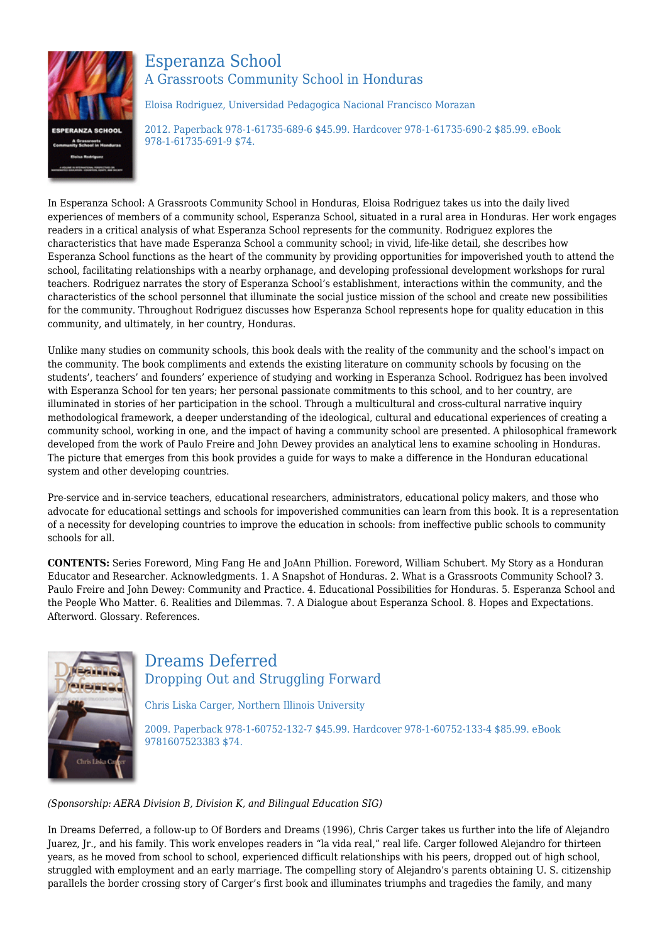

## Esperanza School A Grassroots Community School in Honduras

Eloisa Rodriguez, Universidad Pedagogica Nacional Francisco Morazan

2012. Paperback 978-1-61735-689-6 \$45.99. Hardcover 978-1-61735-690-2 \$85.99. eBook 978-1-61735-691-9 \$74.

In Esperanza School: A Grassroots Community School in Honduras, Eloisa Rodriguez takes us into the daily lived experiences of members of a community school, Esperanza School, situated in a rural area in Honduras. Her work engages readers in a critical analysis of what Esperanza School represents for the community. Rodriguez explores the characteristics that have made Esperanza School a community school; in vivid, life-like detail, she describes how Esperanza School functions as the heart of the community by providing opportunities for impoverished youth to attend the school, facilitating relationships with a nearby orphanage, and developing professional development workshops for rural teachers. Rodriguez narrates the story of Esperanza School's establishment, interactions within the community, and the characteristics of the school personnel that illuminate the social justice mission of the school and create new possibilities for the community. Throughout Rodriguez discusses how Esperanza School represents hope for quality education in this community, and ultimately, in her country, Honduras.

Unlike many studies on community schools, this book deals with the reality of the community and the school's impact on the community. The book compliments and extends the existing literature on community schools by focusing on the students', teachers' and founders' experience of studying and working in Esperanza School. Rodriguez has been involved with Esperanza School for ten years; her personal passionate commitments to this school, and to her country, are illuminated in stories of her participation in the school. Through a multicultural and cross-cultural narrative inquiry methodological framework, a deeper understanding of the ideological, cultural and educational experiences of creating a community school, working in one, and the impact of having a community school are presented. A philosophical framework developed from the work of Paulo Freire and John Dewey provides an analytical lens to examine schooling in Honduras. The picture that emerges from this book provides a guide for ways to make a difference in the Honduran educational system and other developing countries.

Pre-service and in-service teachers, educational researchers, administrators, educational policy makers, and those who advocate for educational settings and schools for impoverished communities can learn from this book. It is a representation of a necessity for developing countries to improve the education in schools: from ineffective public schools to community schools for all.

**CONTENTS:** Series Foreword, Ming Fang He and JoAnn Phillion. Foreword, William Schubert. My Story as a Honduran Educator and Researcher. Acknowledgments. 1. A Snapshot of Honduras. 2. What is a Grassroots Community School? 3. Paulo Freire and John Dewey: Community and Practice. 4. Educational Possibilities for Honduras. 5. Esperanza School and the People Who Matter. 6. Realities and Dilemmas. 7. A Dialogue about Esperanza School. 8. Hopes and Expectations. Afterword. Glossary. References.



## Dreams Deferred Dropping Out and Struggling Forward

Chris Liska Carger, Northern Illinois University

2009. Paperback 978-1-60752-132-7 \$45.99. Hardcover 978-1-60752-133-4 \$85.99. eBook 9781607523383 \$74.

*(Sponsorship: AERA Division B, Division K, and Bilingual Education SIG)*

In Dreams Deferred, a follow-up to Of Borders and Dreams (1996), Chris Carger takes us further into the life of Alejandro Juarez, Jr., and his family. This work envelopes readers in "la vida real," real life. Carger followed Alejandro for thirteen years, as he moved from school to school, experienced difficult relationships with his peers, dropped out of high school, struggled with employment and an early marriage. The compelling story of Alejandro's parents obtaining U. S. citizenship parallels the border crossing story of Carger's first book and illuminates triumphs and tragedies the family, and many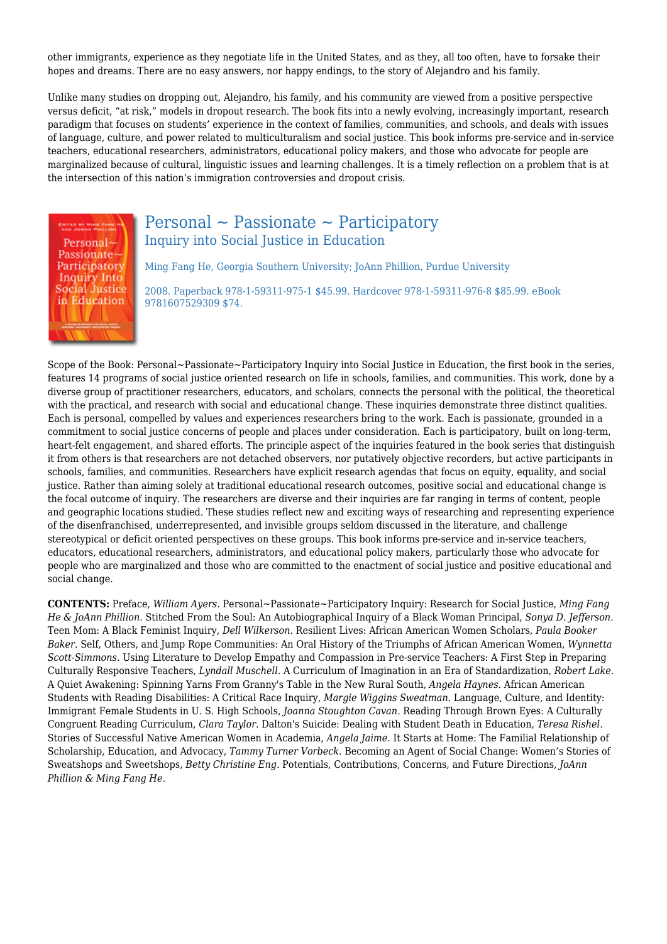other immigrants, experience as they negotiate life in the United States, and as they, all too often, have to forsake their hopes and dreams. There are no easy answers, nor happy endings, to the story of Alejandro and his family.

Unlike many studies on dropping out, Alejandro, his family, and his community are viewed from a positive perspective versus deficit, "at risk," models in dropout research. The book fits into a newly evolving, increasingly important, research paradigm that focuses on students' experience in the context of families, communities, and schools, and deals with issues of language, culture, and power related to multiculturalism and social justice. This book informs pre-service and in-service teachers, educational researchers, administrators, educational policy makers, and those who advocate for people are marginalized because of cultural, linguistic issues and learning challenges. It is a timely reflection on a problem that is at the intersection of this nation's immigration controversies and dropout crisis.



## Personal ~ Passionate ~ Participatory Inquiry into Social Justice in Education

Ming Fang He, Georgia Southern University; JoAnn Phillion, Purdue University

2008. Paperback 978-1-59311-975-1 \$45.99. Hardcover 978-1-59311-976-8 \$85.99. eBook 9781607529309 \$74.

Scope of the Book: Personal~Passionate~Participatory Inquiry into Social Justice in Education, the first book in the series, features 14 programs of social justice oriented research on life in schools, families, and communities. This work, done by a diverse group of practitioner researchers, educators, and scholars, connects the personal with the political, the theoretical with the practical, and research with social and educational change. These inquiries demonstrate three distinct qualities. Each is personal, compelled by values and experiences researchers bring to the work. Each is passionate, grounded in a commitment to social justice concerns of people and places under consideration. Each is participatory, built on long-term, heart-felt engagement, and shared efforts. The principle aspect of the inquiries featured in the book series that distinguish it from others is that researchers are not detached observers, nor putatively objective recorders, but active participants in schools, families, and communities. Researchers have explicit research agendas that focus on equity, equality, and social justice. Rather than aiming solely at traditional educational research outcomes, positive social and educational change is the focal outcome of inquiry. The researchers are diverse and their inquiries are far ranging in terms of content, people and geographic locations studied. These studies reflect new and exciting ways of researching and representing experience of the disenfranchised, underrepresented, and invisible groups seldom discussed in the literature, and challenge stereotypical or deficit oriented perspectives on these groups. This book informs pre-service and in-service teachers, educators, educational researchers, administrators, and educational policy makers, particularly those who advocate for people who are marginalized and those who are committed to the enactment of social justice and positive educational and social change.

**CONTENTS:** Preface, *William Ayers*. Personal~Passionate~Participatory Inquiry: Research for Social Justice, *Ming Fang He & JoAnn Phillion*. Stitched From the Soul: An Autobiographical Inquiry of a Black Woman Principal, *Sonya D. Jefferson*. Teen Mom: A Black Feminist Inquiry, *Dell Wilkerson*. Resilient Lives: African American Women Scholars, *Paula Booker Baker*. Self, Others, and Jump Rope Communities: An Oral History of the Triumphs of African American Women, *Wynnetta Scott-Simmons*. Using Literature to Develop Empathy and Compassion in Pre-service Teachers: A First Step in Preparing Culturally Responsive Teachers, *Lyndall Muschell*. A Curriculum of Imagination in an Era of Standardization, *Robert Lake*. A Quiet Awakening: Spinning Yarns From Granny's Table in the New Rural South, *Angela Haynes.* African American Students with Reading Disabilities: A Critical Race Inquiry, *Margie Wiggins Sweatman*. Language, Culture, and Identity: Immigrant Female Students in U. S. High Schools, *Joanna Stoughton Cavan*. Reading Through Brown Eyes: A Culturally Congruent Reading Curriculum, *Clara Taylor*. Dalton's Suicide: Dealing with Student Death in Education, *Teresa Rishel*. Stories of Successful Native American Women in Academia, *Angela Jaime*. It Starts at Home: The Familial Relationship of Scholarship, Education, and Advocacy, *Tammy Turner Vorbeck*. Becoming an Agent of Social Change: Women's Stories of Sweatshops and Sweetshops, *Betty Christine Eng*. Potentials, Contributions, Concerns, and Future Directions, *JoAnn Phillion & Ming Fang He*.